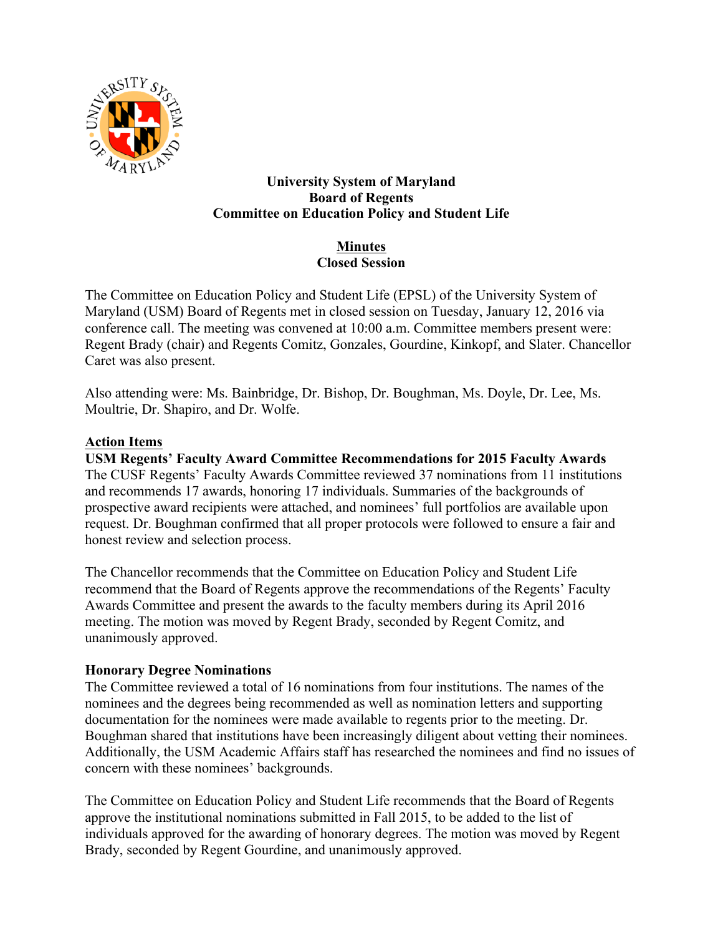

#### **University System of Maryland Board of Regents Committee on Education Policy and Student Life**

## **Minutes Closed Session**

The Committee on Education Policy and Student Life (EPSL) of the University System of Maryland (USM) Board of Regents met in closed session on Tuesday, January 12, 2016 via conference call. The meeting was convened at 10:00 a.m. Committee members present were: Regent Brady (chair) and Regents Comitz, Gonzales, Gourdine, Kinkopf, and Slater. Chancellor Caret was also present.

Also attending were: Ms. Bainbridge, Dr. Bishop, Dr. Boughman, Ms. Doyle, Dr. Lee, Ms. Moultrie, Dr. Shapiro, and Dr. Wolfe.

# **Action Items**

**USM Regents' Faculty Award Committee Recommendations for 2015 Faculty Awards** The CUSF Regents' Faculty Awards Committee reviewed 37 nominations from 11 institutions and recommends 17 awards, honoring 17 individuals. Summaries of the backgrounds of prospective award recipients were attached, and nominees' full portfolios are available upon request. Dr. Boughman confirmed that all proper protocols were followed to ensure a fair and honest review and selection process.

The Chancellor recommends that the Committee on Education Policy and Student Life recommend that the Board of Regents approve the recommendations of the Regents' Faculty Awards Committee and present the awards to the faculty members during its April 2016 meeting. The motion was moved by Regent Brady, seconded by Regent Comitz, and unanimously approved.

## **Honorary Degree Nominations**

The Committee reviewed a total of 16 nominations from four institutions. The names of the nominees and the degrees being recommended as well as nomination letters and supporting documentation for the nominees were made available to regents prior to the meeting. Dr. Boughman shared that institutions have been increasingly diligent about vetting their nominees. Additionally, the USM Academic Affairs staff has researched the nominees and find no issues of concern with these nominees' backgrounds.

The Committee on Education Policy and Student Life recommends that the Board of Regents approve the institutional nominations submitted in Fall 2015, to be added to the list of individuals approved for the awarding of honorary degrees. The motion was moved by Regent Brady, seconded by Regent Gourdine, and unanimously approved.